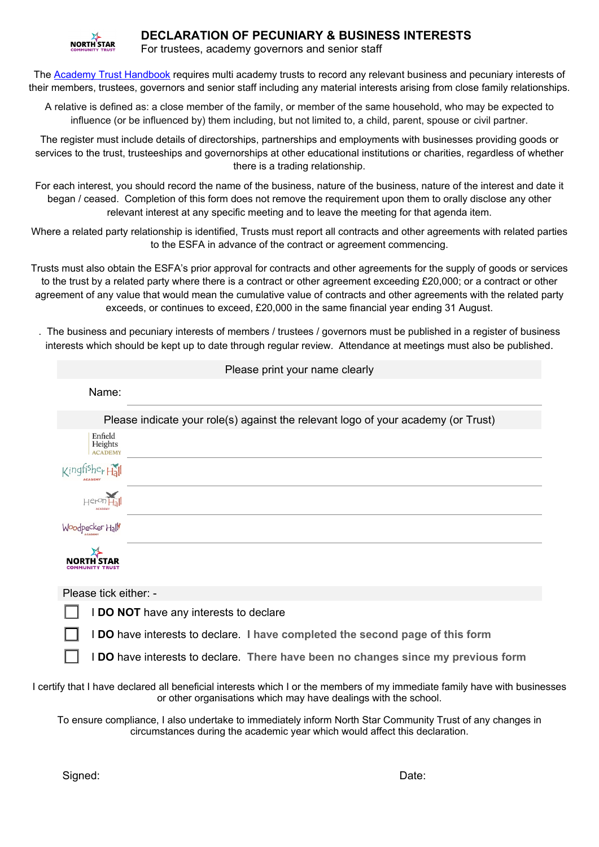

## **DECLARATION OF PECUNIARY & BUSINESS INTERESTS**

For trustees, academy governors and senior staff

The [Academy Trust Handbook](https://www.gov.uk/guidance/academy-trust-handbook) requires multi academy trusts to record any relevant business and pecuniary interests of their members, trustees, governors and senior staff including any material interests arising from close family relationships.

A relative is defined as: a close member of the family, or member of the same household, who may be expected to influence (or be influenced by) them including, but not limited to, a child, parent, spouse or civil partner.

The register must include details of directorships, partnerships and employments with businesses providing goods or services to the trust, trusteeships and governorships at other educational institutions or charities, regardless of whether there is a trading relationship.

For each interest, you should record the name of the business, nature of the business, nature of the interest and date it began / ceased. Completion of this form does not remove the requirement upon them to orally disclose any other relevant interest at any specific meeting and to leave the meeting for that agenda item.

Where a related party relationship is identified, Trusts must report all contracts and other agreements with related parties to the ESFA in advance of the contract or agreement commencing.

Trusts must also obtain the ESFA's prior approval for contracts and other agreements for the supply of goods or services to the trust by a related party where there is a contract or other agreement exceeding £20,000; or a contract or other agreement of any value that would mean the cumulative value of contracts and other agreements with the related party exceeds, or continues to exceed, £20,000 in the same financial year ending 31 August.

. The business and pecuniary interests of members / trustees / governors must be published in a register of business interests which should be kept up to date through regular review. Attendance at meetings must also be published.

| Please print your name clearly       |                                                                                                                                                                                               |  |
|--------------------------------------|-----------------------------------------------------------------------------------------------------------------------------------------------------------------------------------------------|--|
| Name:                                |                                                                                                                                                                                               |  |
|                                      | Please indicate your role(s) against the relevant logo of your academy (or Trust)                                                                                                             |  |
| Enfield<br>Heights<br><b>ACADEMY</b> |                                                                                                                                                                                               |  |
| Kingfishe <sub>r Hall</sub>          |                                                                                                                                                                                               |  |
| $Her^{on}$                           |                                                                                                                                                                                               |  |
| Woodpecker Hall                      |                                                                                                                                                                                               |  |
|                                      |                                                                                                                                                                                               |  |
| Please tick either: -                |                                                                                                                                                                                               |  |
|                                      | I DO NOT have any interests to declare                                                                                                                                                        |  |
|                                      | I DO have interests to declare. I have completed the second page of this form                                                                                                                 |  |
|                                      | I DO have interests to declare. There have been no changes since my previous form                                                                                                             |  |
|                                      | I certify that I have declared all beneficial interests which I or the members of my immediate family have with businesses<br>or other organisations which may have dealings with the school. |  |
|                                      | To ensure compliance, I also undertake to immediately inform North Star Community Trust of any changes in<br>circumstances during the academic year which would affect this declaration.      |  |
|                                      |                                                                                                                                                                                               |  |

Signed: Date: